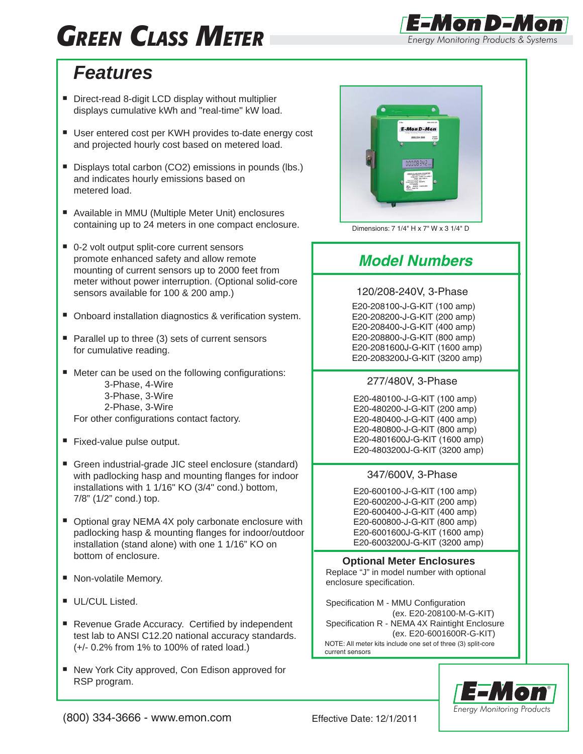# *GREEN CLASS METER*



### *Features*

- Direct-read 8-digit LCD display without multiplier displays cumulative kWh and "real-time" kW load.
- User entered cost per KWH provides to-date energy cost and projected hourly cost based on metered load.
- Displays total carbon (CO2) emissions in pounds (lbs.) and indicates hourly emissions based on metered load.
- Available in MMU (Multiple Meter Unit) enclosures containing up to 24 meters in one compact enclosure.
- 0-2 volt output split-core current sensors promote enhanced safety and allow remote mounting of current sensors up to 2000 feet from meter without power interruption. (Optional solid-core sensors available for 100 & 200 amp.)
- Onboard installation diagnostics & verification system.
- $\blacksquare$  Parallel up to three (3) sets of current sensors for cumulative reading.
- Meter can be used on the following configurations: 3-Phase, 4-Wire 3-Phase, 3-Wire 2-Phase, 3-Wire For other configurations contact factory.
- Fixed-value pulse output.
- Green industrial-grade JIC steel enclosure (standard) with padlocking hasp and mounting flanges for indoor installations with 1 1/16" KO (3/4" cond.) bottom, 7/8" (1/2" cond.) top.
- Optional gray NEMA 4X poly carbonate enclosure with padlocking hasp & mounting flanges for indoor/outdoor installation (stand alone) with one 1 1/16" KO on bottom of enclosure.
- Non-volatile Memory.
- **UL/CUL Listed.**
- Revenue Grade Accuracy. Certified by independent test lab to ANSI C12.20 national accuracy standards. (+/- 0.2% from 1% to 100% of rated load.)
- New York City approved, Con Edison approved for RSP program.



Dimensions: 7 1/4" H x 7" W x 3 1/4" D

### *Model Numbers*

#### 120/208-240V, 3-Phase

Ī

E20-208100-J-G-KIT (100 amp) E20-208200-J-G-KIT (200 amp) E20-208400-J-G-KIT (400 amp) E20-208800-J-G-KIT (800 amp) E20-2081600J-G-KIT (1600 amp) E20-2083200J-G-KIT (3200 amp)

#### 277/480V, 3-Phase

E20-480100-J-G-KIT (100 amp) E20-480200-J-G-KIT (200 amp) E20-480400-J-G-KIT (400 amp) E20-480800-J-G-KIT (800 amp) E20-4801600J-G-KIT (1600 amp) E20-4803200J-G-KIT (3200 amp)

#### 347/600V, 3-Phase

E20-600100-J-G-KIT (100 amp) E20-600200-J-G-KIT (200 amp) E20-600400-J-G-KIT (400 amp) E20-600800-J-G-KIT (800 amp) E20-6001600J-G-KIT (1600 amp) E20-6003200J-G-KIT (3200 amp)

 **Optional Meter Enclosures** Replace "J" in model number with optional enclosure specification.

NOTE: All meter kits include one set of three (3) split-core current sensors Specification M - MMU Configuration (ex. E20-208100-M-G-KIT) Specification R - NEMA 4X Raintight Enclosure (ex. E20-6001600R-G-KIT)